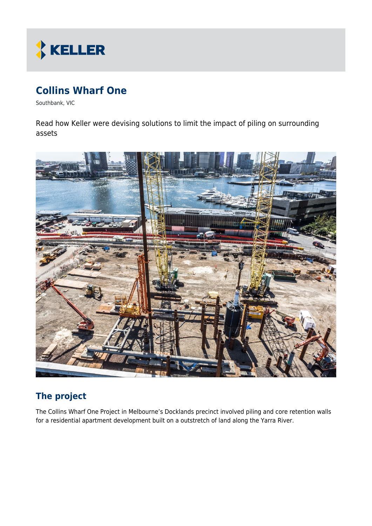

# **Collins Wharf One**

Southbank, VIC

Read how Keller were devising solutions to limit the impact of piling on surrounding assets



## **The project**

The Collins Wharf One Project in Melbourne's Docklands precinct involved piling and core retention walls for a residential apartment development built on a outstretch of land along the Yarra River.